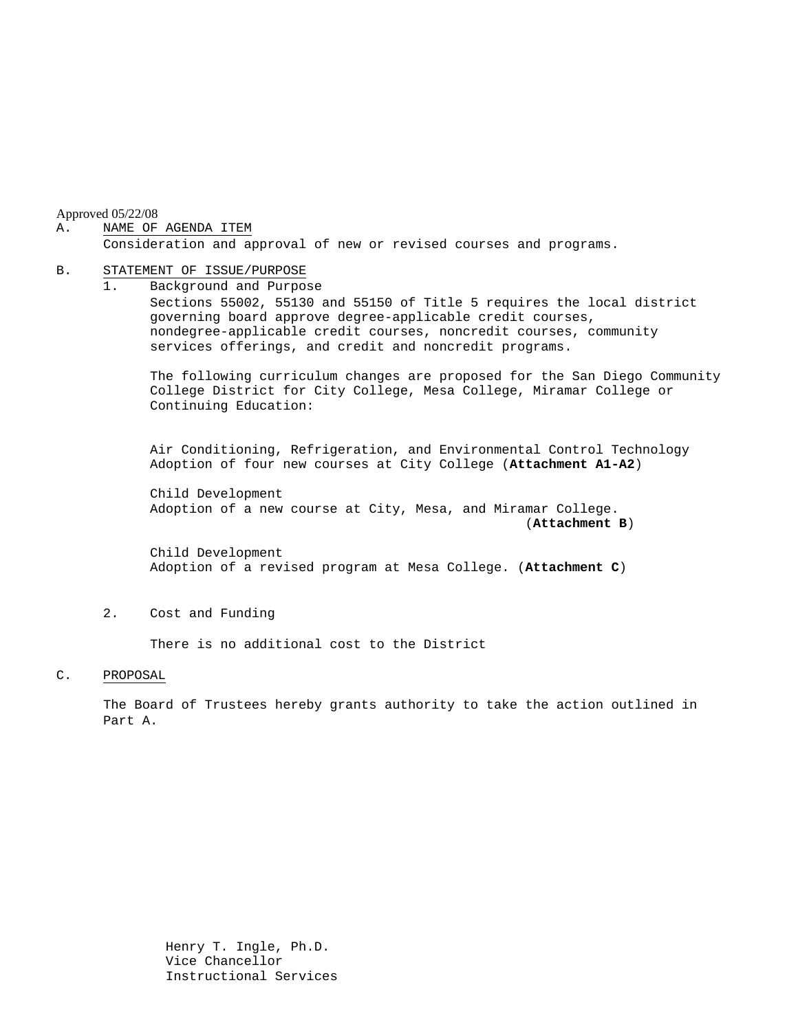Approved 05/22/08

### A. NAME OF AGENDA ITEM

Consideration and approval of new or revised courses and programs.

#### B. STATEMENT OF ISSUE/PURPOSE

1. Background and Purpose Sections 55002, 55130 and 55150 of Title 5 requires the local district governing board approve degree-applicable credit courses, nondegree-applicable credit courses, noncredit courses, community services offerings, and credit and noncredit programs.

The following curriculum changes are proposed for the San Diego Community College District for City College, Mesa College, Miramar College or Continuing Education:

 Air Conditioning, Refrigeration, and Environmental Control Technology Adoption of four new courses at City College (**Attachment A1-A2**)

Child Development Adoption of a new course at City, Mesa, and Miramar College. (**Attachment B**)

Child Development Adoption of a revised program at Mesa College. (**Attachment C**)

# 2. Cost and Funding

There is no additional cost to the District

#### C. PROPOSAL

The Board of Trustees hereby grants authority to take the action outlined in Part A.

> Henry T. Ingle, Ph.D. Vice Chancellor Instructional Services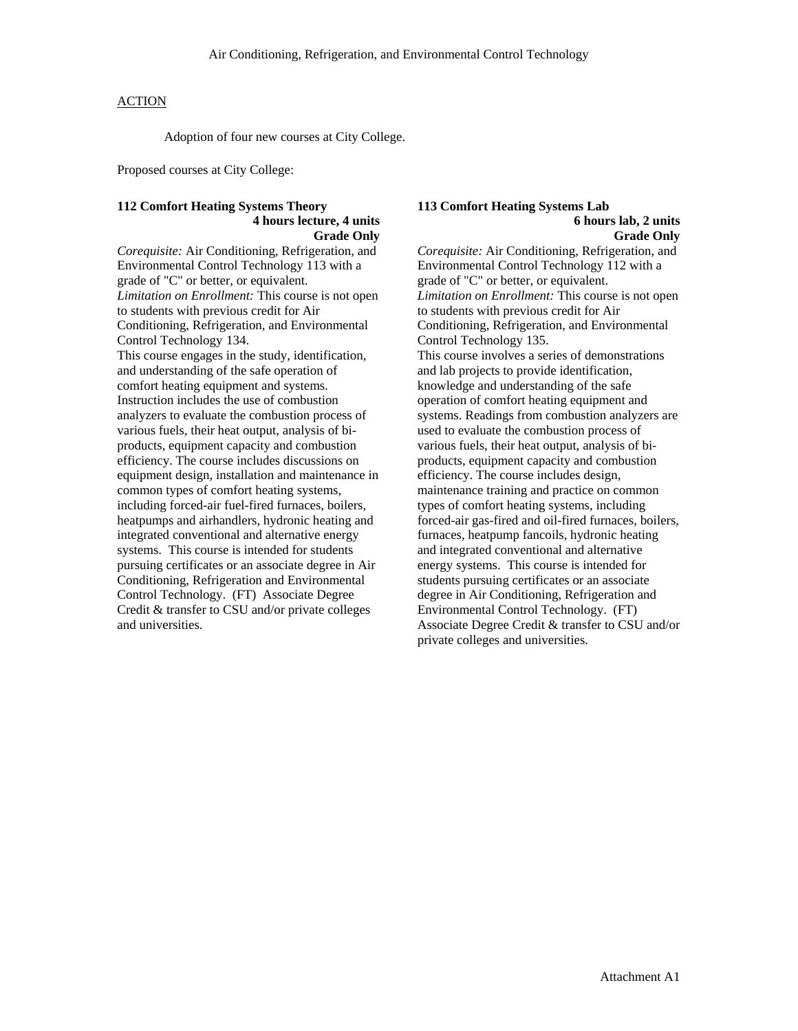# **ACTION**

Adoption of four new courses at City College.

Proposed courses at City College:

### **112 Comfort Heating Systems Theory 4 hours lecture, 4 units Grade Only**

*Corequisite:* Air Conditioning, Refrigeration, and Environmental Control Technology 113 with a grade of "C" or better, or equivalent. *Limitation on Enrollment:* This course is not open to students with previous credit for Air Conditioning, Refrigeration, and Environmental Control Technology 134. This course engages in the study, identification, and understanding of the safe operation of comfort heating equipment and systems. Instruction includes the use of combustion analyzers to evaluate the combustion process of various fuels, their heat output, analysis of biproducts, equipment capacity and combustion efficiency. The course includes discussions on equipment design, installation and maintenance in common types of comfort heating systems, including forced-air fuel-fired furnaces, boilers, heatpumps and airhandlers, hydronic heating and integrated conventional and alternative energy systems. This course is intended for students pursuing certificates or an associate degree in Air Conditioning, Refrigeration and Environmental Control Technology. (FT) Associate Degree Credit & transfer to CSU and/or private colleges and universities.

#### **113 Comfort Heating Systems Lab 6 hours lab, 2 units Grade Only**

*Corequisite:* Air Conditioning, Refrigeration, and Environmental Control Technology 112 with a grade of "C" or better, or equivalent. *Limitation on Enrollment:* This course is not open to students with previous credit for Air Conditioning, Refrigeration, and Environmental Control Technology 135. This course involves a series of demonstrations and lab projects to provide identification, knowledge and understanding of the safe operation of comfort heating equipment and systems. Readings from combustion analyzers are used to evaluate the combustion process of various fuels, their heat output, analysis of biproducts, equipment capacity and combustion efficiency. The course includes design, maintenance training and practice on common types of comfort heating systems, including forced-air gas-fired and oil-fired furnaces, boilers, furnaces, heatpump fancoils, hydronic heating and integrated conventional and alternative energy systems. This course is intended for students pursuing certificates or an associate degree in Air Conditioning, Refrigeration and Environmental Control Technology. (FT) Associate Degree Credit & transfer to CSU and/or private colleges and universities.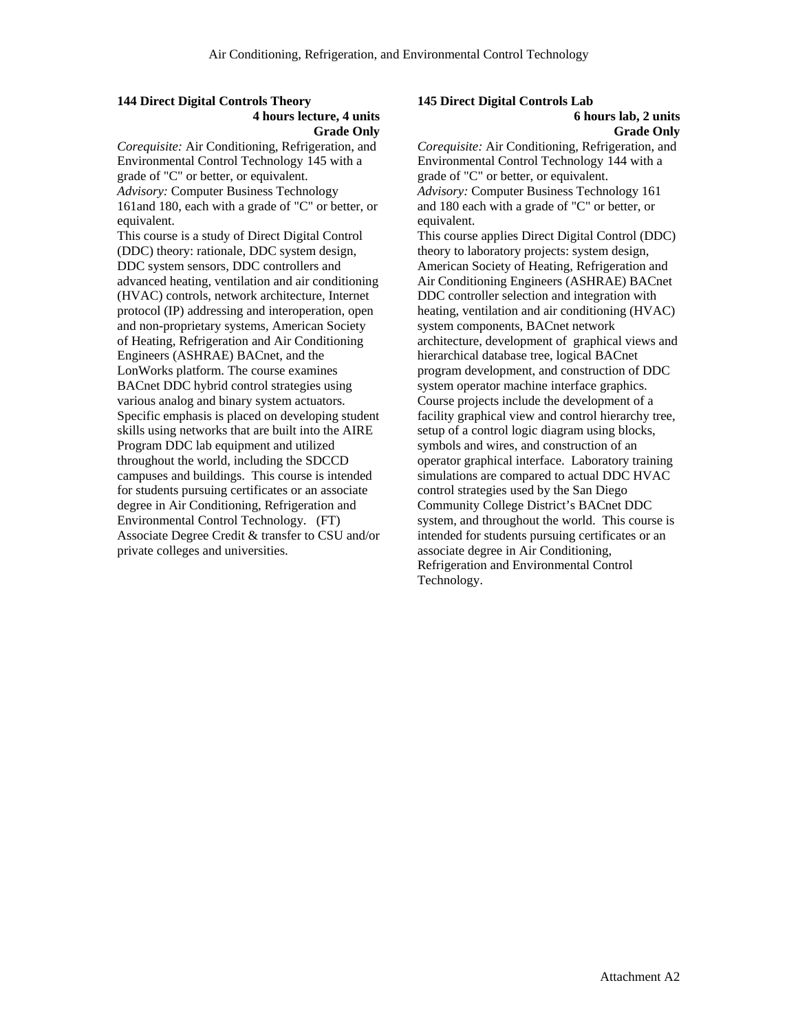## **144 Direct Digital Controls Theory 4 hours lecture, 4 units Grade Only**

*Corequisite:* Air Conditioning, Refrigeration, and Environmental Control Technology 145 with a grade of "C" or better, or equivalent. *Advisory:* Computer Business Technology 161and 180, each with a grade of "C" or better, or equivalent.

This course is a study of Direct Digital Control (DDC) theory: rationale, DDC system design, DDC system sensors, DDC controllers and advanced heating, ventilation and air conditioning (HVAC) controls, network architecture, Internet protocol (IP) addressing and interoperation, open and non-proprietary systems, American Society of Heating, Refrigeration and Air Conditioning Engineers (ASHRAE) BACnet, and the LonWorks platform. The course examines BACnet DDC hybrid control strategies using various analog and binary system actuators. Specific emphasis is placed on developing student skills using networks that are built into the AIRE Program DDC lab equipment and utilized throughout the world, including the SDCCD campuses and buildings. This course is intended for students pursuing certificates or an associate degree in Air Conditioning, Refrigeration and Environmental Control Technology. (FT) Associate Degree Credit & transfer to CSU and/or private colleges and universities.

# **145 Direct Digital Controls Lab**

#### **6 hours lab, 2 units Grade Only**

*Corequisite:* Air Conditioning, Refrigeration, and Environmental Control Technology 144 with a grade of "C" or better, or equivalent. *Advisory:* Computer Business Technology 161 and 180 each with a grade of "C" or better, or equivalent.

This course applies Direct Digital Control (DDC) theory to laboratory projects: system design, American Society of Heating, Refrigeration and Air Conditioning Engineers (ASHRAE) BACnet DDC controller selection and integration with heating, ventilation and air conditioning (HVAC) system components, BACnet network architecture, development of graphical views and hierarchical database tree, logical BACnet program development, and construction of DDC system operator machine interface graphics. Course projects include the development of a facility graphical view and control hierarchy tree, setup of a control logic diagram using blocks, symbols and wires, and construction of an operator graphical interface. Laboratory training simulations are compared to actual DDC HVAC control strategies used by the San Diego Community College District's BACnet DDC system, and throughout the world. This course is intended for students pursuing certificates or an associate degree in Air Conditioning, Refrigeration and Environmental Control Technology.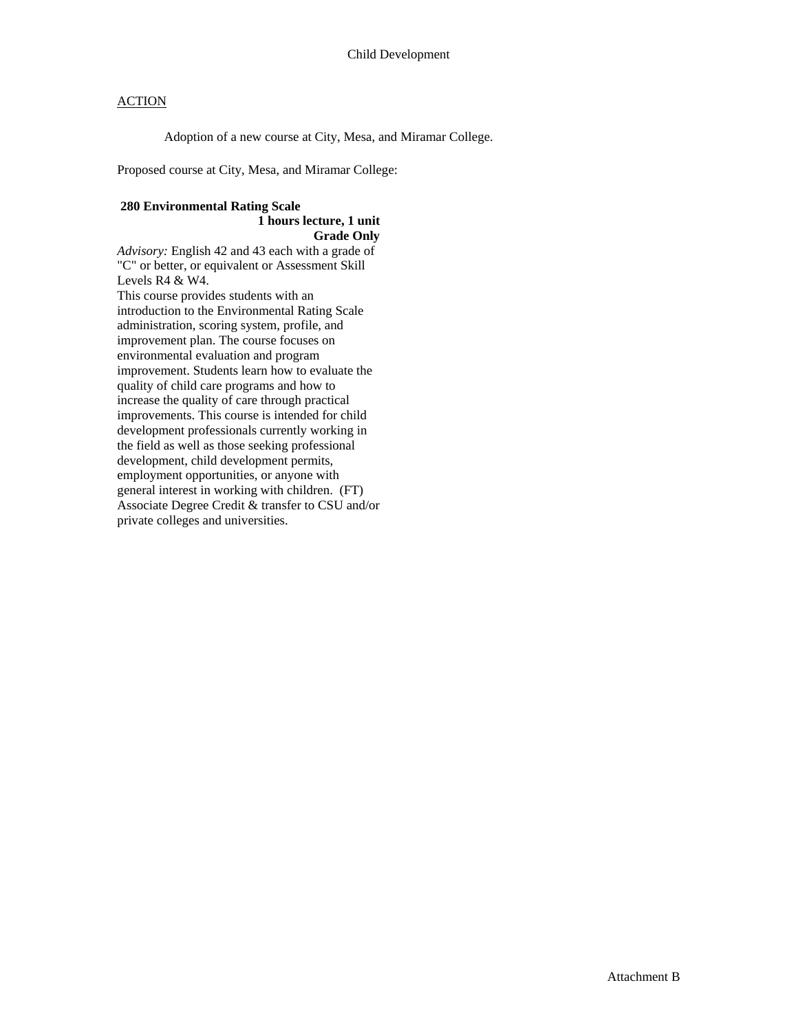# **ACTION**

Adoption of a new course at City, Mesa, and Miramar College.

Proposed course at City, Mesa, and Miramar College:

# **280 Environmental Rating Scale 1 hours lecture, 1 unit**

**Grade Only** 

*Advisory:* English 42 and 43 each with a grade of "C" or better, or equivalent or Assessment Skill Levels R4 & W4. This course provides students with an introduction to the Environmental Rating Scale administration, scoring system, profile, and improvement plan. The course focuses on environmental evaluation and program improvement. Students learn how to evaluate the quality of child care programs and how to increase the quality of care through practical improvements. This course is intended for child development professionals currently working in the field as well as those seeking professional development, child development permits, employment opportunities, or anyone with general interest in working with children. (FT) Associate Degree Credit & transfer to CSU and/or private colleges and universities.